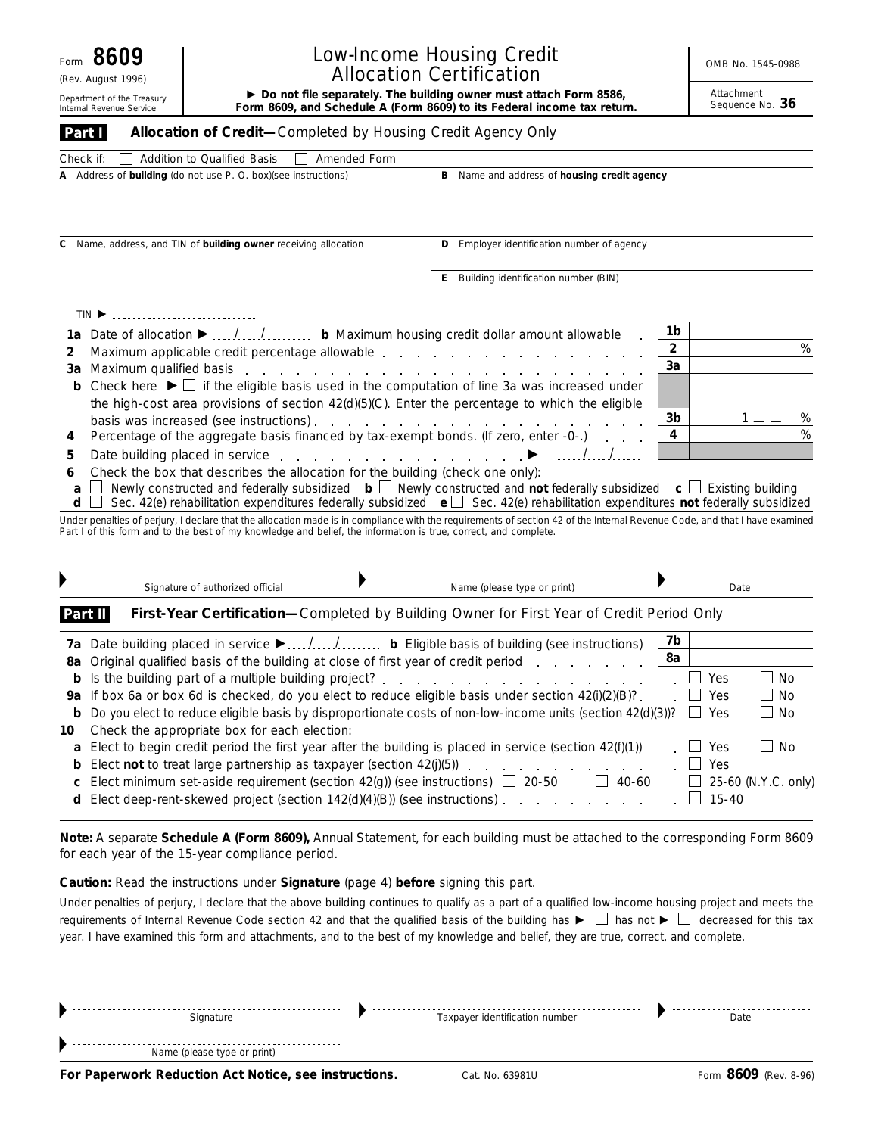(Rev. August 1996)

**Part I**

Internal Revenue Service

## Low-Income Housing Credit **No. 1545-0988** Allocation Certification

Department of the Treasury **Form 8609, and Schedule A (Form 8609) to its Federal income tax return.** Department the Treasury Form 8609, and Schedule A (Form 8609) to its Federal income tax return. Sequence No. 36

Attachment<br>Sequence No. 36

| Allocation of Credit-Completed by Housing Credit Agency Only |  |
|--------------------------------------------------------------|--|

| Check if:<br>Addition to Qualified Basis<br>Amended Form<br>$\perp$                                                                                                                                                                  |                                                |    |   |
|--------------------------------------------------------------------------------------------------------------------------------------------------------------------------------------------------------------------------------------|------------------------------------------------|----|---|
| A Address of building (do not use P. O. box) (see instructions)                                                                                                                                                                      | Name and address of housing credit agency<br>в |    |   |
| C Name, address, and TIN of building owner receiving allocation                                                                                                                                                                      | Employer identification number of agency       |    |   |
|                                                                                                                                                                                                                                      | Building identification number (BIN)<br>E.     |    |   |
| $TIN \triangleright$                                                                                                                                                                                                                 |                                                |    |   |
| 1a Date of allocation ► // b Maximum housing credit dollar amount allowable                                                                                                                                                          |                                                | 1b |   |
| Maximum applicable credit percentage allowable<br>2                                                                                                                                                                                  |                                                | 2  | % |
| Maximum qualified basis entering to the contract of the contract of the contract of the contract of the contract of the contract of the contract of the contract of the contract of the contract of the contract of the contra<br>За |                                                | 3a |   |
| <b>b</b> Check here $\blacktriangleright \Box$ if the eligible basis used in the computation of line 3a was increased under                                                                                                          |                                                |    |   |
| the high-cost area provisions of section $42(d)(5)(C)$ . Enter the percentage to which the eligible                                                                                                                                  |                                                |    |   |
| basis was increased (see instructions).                                                                                                                                                                                              |                                                | 3b | % |
| Percentage of the aggregate basis financed by tax-exempt bonds. (If zero, enter -0-.)<br>4                                                                                                                                           |                                                | 4  | % |
| 5                                                                                                                                                                                                                                    |                                                |    |   |

- **6** Check the box that describes the allocation for the building (check one only):
- **a** Newly constructed and federally subsidized **b** Newly constructed and **not** federally subsidized **c** Existing building
- **d** Sec. 42(e) rehabilitation expenditures federally subsidized **e** Sec. 42(e) rehabilitation expenditures **not** federally subsidized

Under penalties of perjury, I declare that the allocation made is in compliance with the requirements of section 42 of the Internal Revenue Code, and that I have examined<br>Part I of this form and to the best of my knowledge

|         | Signature of authorized official<br>Name (please type or print)                                                    |    | Date       |                     |
|---------|--------------------------------------------------------------------------------------------------------------------|----|------------|---------------------|
| Part II | First-Year Certification-Completed by Building Owner for First Year of Credit Period Only                          |    |            |                     |
|         |                                                                                                                    | 7b |            |                     |
|         | 8a Original qualified basis of the building at close of first year of credit period                                | 8a |            |                     |
|         |                                                                                                                    |    | Yes        | $\blacksquare$ No   |
|         | 9a If box 6a or box 6d is checked, do you elect to reduce eligible basis under section $42(i)(2)(B)?$ .            |    | Yes        | $\blacksquare$ No   |
|         | b Do you elect to reduce eligible basis by disproportionate costs of non-low-income units (section 42(d)(3))?      |    | $\Box$ Yes | $\Box$ No           |
| 10 -    | Check the appropriate box for each election:                                                                       |    |            |                     |
|         | <b>a</b> Elect to begin credit period the first year after the building is placed in service (section $42(f)(1)$ ) |    | Yes        | l No                |
|         | <b>b</b> Elect <b>not</b> to treat large partnership as taxpayer (section $42(j)(5)$ )                             |    | Yes        |                     |
|         | <b>c</b> Elect minimum set-aside requirement (section 42(g)) (see instructions) $\Box$ 20-50<br>40-60              |    |            | 25-60 (N.Y.C. only) |
|         | <b>d</b> Elect deep-rent-skewed project (section $142(d)(4)(B)$ ) (see instructions).                              |    | $15 - 40$  |                     |

**Note:** *A separate Schedule A (Form 8609), Annual Statement, for each building must be attached to the corresponding Form 8609 for each year of the 15-year compliance period.*

**Caution:** *Read the instructions under Signature (page 4) before signing this part.*

Under penalties of perjury, I declare that the above building continues to qualify as a part of a qualified low-income housing project and meets the requirements of Internal Revenue Code section 42 and that the qualified basis of the building has  $\blacktriangleright \Box$  has not  $\blacktriangleright \Box$  decreased for this tax year. I have examined this form and attachments, and to the best of my knowledge and belief, they are true, correct, and complete.

|                             |                                | - - - - |
|-----------------------------|--------------------------------|---------|
| Name (please type or print) |                                |         |
|                             |                                |         |
| Signature                   | Taxpayer identification number | Date    |
| ------                      |                                |         |

**For Paperwork Reduction Act Notice, see instructions.** Cat. No. 63981U Form 8609 (Rev. 8-96)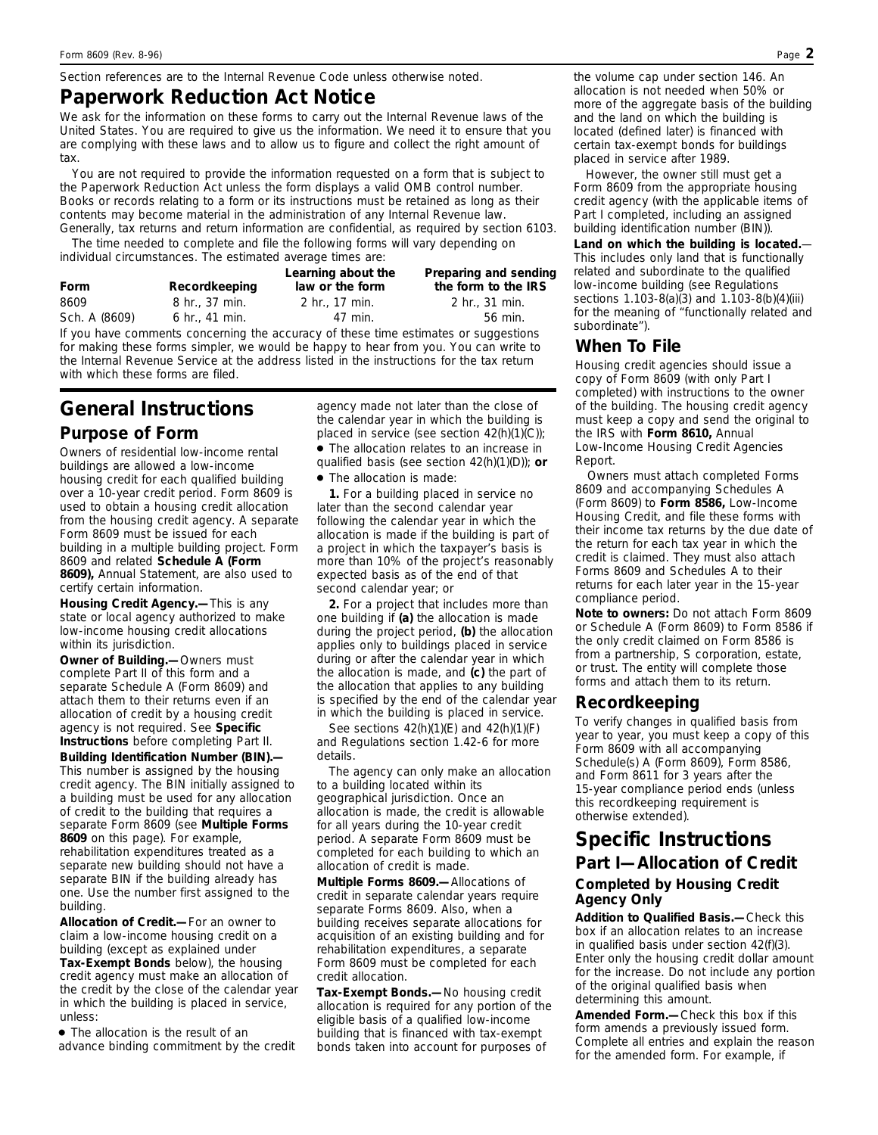*Section references are to the Internal Revenue Code unless otherwise noted.*

### **Paperwork Reduction Act Notice**

We ask for the information on these forms to carry out the Internal Revenue laws of the United States. You are required to give us the information. We need it to ensure that you are complying with these laws and to allow us to figure and collect the right amount of tax.

You are not required to provide the information requested on a form that is subject to the Paperwork Reduction Act unless the form displays a valid OMB control number. Books or records relating to a form or its instructions must be retained as long as their contents may become material in the administration of any Internal Revenue law. Generally, tax returns and return information are confidential, as required by section 6103.

The time needed to complete and file the following forms will vary depending on individual circumstances. The estimated average times are:

| Form          | Recordkeeping              | Learning about the<br>law or the form | Preparing and sending<br>the form to the IRS |
|---------------|----------------------------|---------------------------------------|----------------------------------------------|
| 8609          | $8 \; \text{hr}$ . 37 min. | 2 hr., 17 min.                        | $2 \text{ hr}$ . 31 min.                     |
| Sch. A (8609) | 6 hr., 41 min.             | 47 min.                               | 56 min.                                      |

If you have comments concerning the accuracy of these time estimates or suggestions for making these forms simpler, we would be happy to hear from you. You can write to the Internal Revenue Service at the address listed in the instructions for the tax return with which these forms are filed.

# **General Instructions**

#### **Purpose of Form**

Owners of residential low-income rental buildings are allowed a low-income housing credit for each qualified building over a 10-year credit period. Form 8609 is used to obtain a housing credit allocation from the housing credit agency. A separate Form 8609 must be issued for each building in a multiple building project. Form 8609 and related **Schedule A (Form 8609),** Annual Statement, are also used to certify certain information.

**Housing Credit Agency.—**This is any state or local agency authorized to make low-income housing credit allocations within its jurisdiction.

**Owner of Building.—**Owners must complete Part II of this form and a separate Schedule A (Form 8609) and attach them to their returns even if an allocation of credit by a housing credit agency is not required. See **Specific Instructions** before completing Part II. **Building Identification Number (BIN).—** This number is assigned by the housing credit agency. The BIN initially assigned to a building must be used for any allocation of credit to the building that requires a separate Form 8609 (see **Multiple Forms 8609** on this page). For example, rehabilitation expenditures treated as a separate new building should not have a separate BIN if the building already has one. Use the number first assigned to the building.

**Allocation of Credit.—**For an owner to claim a low-income housing credit on a building (except as explained under **Tax-Exempt Bonds** below), the housing credit agency must make an allocation of the credit by the close of the calendar year in which the building is placed in service, unless:

● The allocation is the result of an advance binding commitment by the credit agency made not later than the close of the calendar year in which the building is placed in service (see section 42(h)(1)(C));

● The allocation relates to an increase in qualified basis (see section 42(h)(1)(D)); **or**

● The allocation is made:

**1.** For a building placed in service no later than the second calendar year following the calendar year in which the allocation is made if the building is part of a project in which the taxpayer's basis is more than 10% of the project's reasonably expected basis as of the end of that second calendar year; or

**2.** For a project that includes more than one building if **(a)** the allocation is made during the project period, **(b)** the allocation applies only to buildings placed in service during or after the calendar year in which the allocation is made, and **(c)** the part of the allocation that applies to any building is specified by the end of the calendar year in which the building is placed in service.

See sections  $42(h)(1)(E)$  and  $42(h)(1)(F)$ and Regulations section 1.42-6 for more details.

The agency can only make an allocation to a building located within its geographical jurisdiction. Once an allocation is made, the credit is allowable for all years during the 10-year credit period. A separate Form 8609 must be completed for each building to which an allocation of credit is made.

**Multiple Forms 8609.—**Allocations of credit in separate calendar years require separate Forms 8609. Also, when a building receives separate allocations for acquisition of an existing building and for rehabilitation expenditures, a separate Form 8609 must be completed for each credit allocation.

**Tax-Exempt Bonds.—**No housing credit allocation is required for any portion of the eligible basis of a qualified low-income building that is financed with tax-exempt bonds taken into account for purposes of

the volume cap under section 146. An allocation is not needed when 50% or more of the aggregate basis of the building and the land on which the building is located (defined later) is financed with certain tax-exempt bonds for buildings placed in service after 1989.

However, the owner still must get a Form 8609 from the appropriate housing credit agency (with the applicable items of Part I completed, including an assigned building identification number (BIN)).

**Land on which the building is located.**— This includes only land that is functionally related and subordinate to the qualified low-income building (see Regulations sections 1.103-8(a)(3) and 1.103-8(b)(4)(iii) for the meaning of "functionally related and subordinate").

#### **When To File**

Housing credit agencies should issue a copy of Form 8609 (with only Part I completed) with instructions to the owner of the building. The housing credit agency must keep a copy and send the original to the IRS with **Form 8610,** Annual Low-Income Housing Credit Agencies Report.

Owners must attach completed Forms 8609 and accompanying Schedules A (Form 8609) to **Form 8586,** Low-Income Housing Credit, and file these forms with their income tax returns by the due date of the return for each tax year in which the credit is claimed. They must also attach Forms 8609 and Schedules A to their returns for each later year in the 15-year compliance period.

**Note to owners:** *Do not attach Form 8609 or Schedule A (Form 8609) to Form 8586 if the only credit claimed on Form 8586 is from a partnership, S corporation, estate, or trust. The entity will complete those forms and attach them to its return.*

#### **Recordkeeping**

To verify changes in qualified basis from year to year, you must keep a copy of this Form 8609 with all accompanying Schedule(s) A (Form 8609), Form 8586, and Form 8611 for 3 years after the 15-year compliance period ends (unless this recordkeeping requirement is otherwise extended).

## **Specific Instructions Part I—Allocation of Credit Completed by Housing Credit Agency Only**

**Addition to Qualified Basis.—**Check this box if an allocation relates to an increase in qualified basis under section 42(f)(3). Enter only the housing credit dollar amount for the increase. Do not include any portion of the original qualified basis when determining this amount.

**Amended Form.—**Check this box if this form amends a previously issued form. Complete all entries and explain the reason for the amended form. For example, if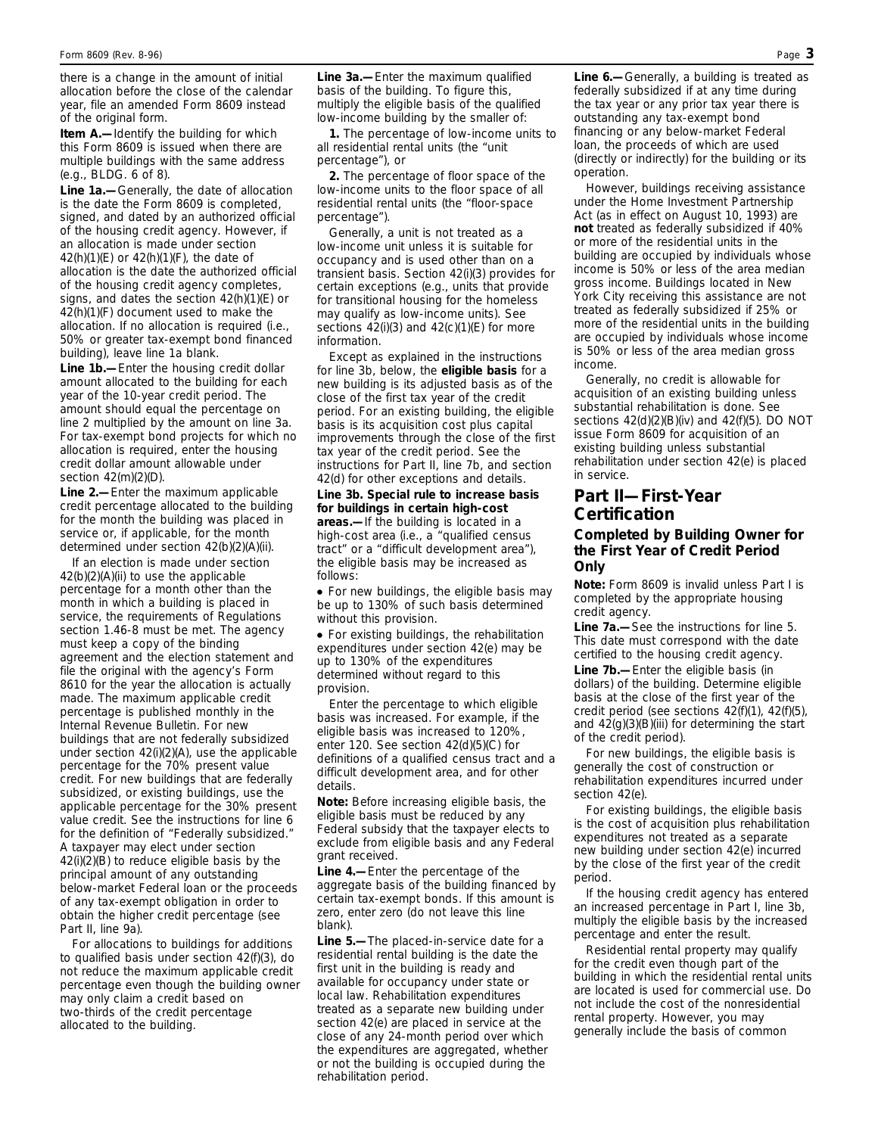there is a change in the amount of initial allocation before the close of the calendar year, file an amended Form 8609 instead of the original form.

**Item A.—**Identify the building for which this Form 8609 is issued when there are multiple buildings with the same address (e.g., BLDG. 6 of 8).

**Line 1a.—**Generally, the date of allocation is the date the Form 8609 is completed, signed, and dated by an authorized official of the housing credit agency. However, if an allocation is made under section 42(h)(1)(E) or 42(h)(1)(F), the date of allocation is the date the authorized official of the housing credit agency completes, signs, and dates the section 42(h)(1)(E) or 42(h)(1)(F) document used to make the allocation. If no allocation is required (i.e., 50% or greater tax-exempt bond financed building), leave line 1a blank.

**Line 1b.—**Enter the housing credit dollar amount allocated to the building for each year of the 10-year credit period. The amount should equal the percentage on line 2 multiplied by the amount on line 3a. For tax-exempt bond projects for which no allocation is required, enter the housing credit dollar amount allowable under section 42(m)(2)(D).

**Line 2.—**Enter the maximum applicable credit percentage allocated to the building for the month the building was placed in service or, if applicable, for the month determined under section 42(b)(2)(A)(ii).

If an election is made under section 42(b)(2)(A)(ii) to use the applicable percentage for a month other than the month in which a building is placed in service, the requirements of Regulations section 1.46-8 must be met. The agency must keep a copy of the binding agreement and the election statement and file the original with the agency's Form 8610 for the year the allocation is actually made. The maximum applicable credit percentage is published monthly in the Internal Revenue Bulletin. For new buildings that are not federally subsidized under section 42(i)(2)(A), use the applicable percentage for the 70% present value credit. For new buildings that are federally subsidized, or existing buildings, use the applicable percentage for the 30% present value credit. See the instructions for line 6 for the definition of "Federally subsidized." A taxpayer may elect under section 42(i)(2)(B) to reduce eligible basis by the principal amount of any outstanding below-market Federal loan or the proceeds of any tax-exempt obligation in order to obtain the higher credit percentage (see Part II, line 9a).

For allocations to buildings for additions to qualified basis under section 42(f)(3), do not reduce the maximum applicable credit percentage even though the building owner may only claim a credit based on two-thirds of the credit percentage allocated to the building.

**Line 3a.—**Enter the maximum qualified basis of the building. To figure this, multiply the eligible basis of the qualified low-income building by the smaller of:

**1.** The percentage of low-income units to all residential rental units (the "unit percentage"), or

**2.** The percentage of floor space of the low-income units to the floor space of all residential rental units (the "floor-space percentage").

Generally, a unit is not treated as a low-income unit unless it is suitable for occupancy and is used other than on a transient basis. Section 42(i)(3) provides for certain exceptions (e.g., units that provide for transitional housing for the homeless may qualify as low-income units). See sections  $42(i)(3)$  and  $42(c)(1)(E)$  for more information.

Except as explained in the instructions for line 3b, below, the **eligible basis** for a new building is its adjusted basis as of the close of the first tax year of the credit period. For an existing building, the eligible basis is its acquisition cost plus capital improvements through the close of the first tax year of the credit period. See the instructions for Part II, line 7b, and section 42(d) for other exceptions and details.

**Line 3b. Special rule to increase basis for buildings in certain high-cost areas.—**If the building is located in a high-cost area (i.e., a "qualified census tract" or a "difficult development area"), the eligible basis may be increased as follows:

• For new buildings, the eligible basis may be up to 130% of such basis determined without this provision.

● For existing buildings, the rehabilitation expenditures under section 42(e) may be up to 130% of the expenditures determined without regard to this provision.

Enter the percentage to which eligible basis was increased. For example, if the eligible basis was increased to 120%, enter 120. See section 42(d)(5)(C) for definitions of a qualified census tract and a difficult development area, and for other details.

**Note:** *Before increasing eligible basis, the eligible basis must be reduced by any Federal subsidy that the taxpayer elects to exclude from eligible basis and any Federal grant received.*

**Line 4.—**Enter the percentage of the aggregate basis of the building financed by certain tax-exempt bonds. If this amount is zero, enter zero (do not leave this line blank).

**Line 5.—**The placed-in-service date for a residential rental building is the date the first unit in the building is ready and available for occupancy under state or local law. Rehabilitation expenditures treated as a separate new building under section 42(e) are placed in service at the close of any 24-month period over which the expenditures are aggregated, whether or not the building is occupied during the rehabilitation period.

**Line 6.—**Generally, a building is treated as federally subsidized if at any time during the tax year or any prior tax year there is outstanding any tax-exempt bond financing or any below-market Federal loan, the proceeds of which are used (directly or indirectly) for the building or its operation.

However, buildings receiving assistance under the Home Investment Partnership Act (as in effect on August 10, 1993) are **not** treated as federally subsidized if 40% or more of the residential units in the building are occupied by individuals whose income is 50% or less of the area median gross income. Buildings located in New York City receiving this assistance are not treated as federally subsidized if 25% or more of the residential units in the building are occupied by individuals whose income is 50% or less of the area median gross income.

Generally, no credit is allowable for acquisition of an existing building unless substantial rehabilitation is done. See sections 42(d)(2)(B)(iv) and 42(f)(5). DO NOT issue Form 8609 for acquisition of an existing building unless substantial rehabilitation under section 42(e) is placed in service.

#### **Part II—First-Year Certification**

#### **Completed by Building Owner for the First Year of Credit Period Only**

**Note:** *Form 8609 is invalid unless Part I is completed by the appropriate housing credit agency.*

**Line 7a.—**See the instructions for line 5. This date must correspond with the date certified to the housing credit agency. **Line 7b.—**Enter the eligible basis (in dollars) of the building. Determine eligible basis at the close of the first year of the credit period (see sections 42(f)(1), 42(f)(5), and 42(g)(3)(B)(iii) for determining the start of the credit period).

For new buildings, the eligible basis is generally the cost of construction or rehabilitation expenditures incurred under section 42(e).

For existing buildings, the eligible basis is the cost of acquisition plus rehabilitation expenditures not treated as a separate new building under section 42(e) incurred by the close of the first year of the credit period.

If the housing credit agency has entered an increased percentage in Part I, line 3b, multiply the eligible basis by the increased percentage and enter the result.

Residential rental property may qualify for the credit even though part of the building in which the residential rental units are located is used for commercial use. Do not include the cost of the nonresidential rental property. However, you may generally include the basis of common